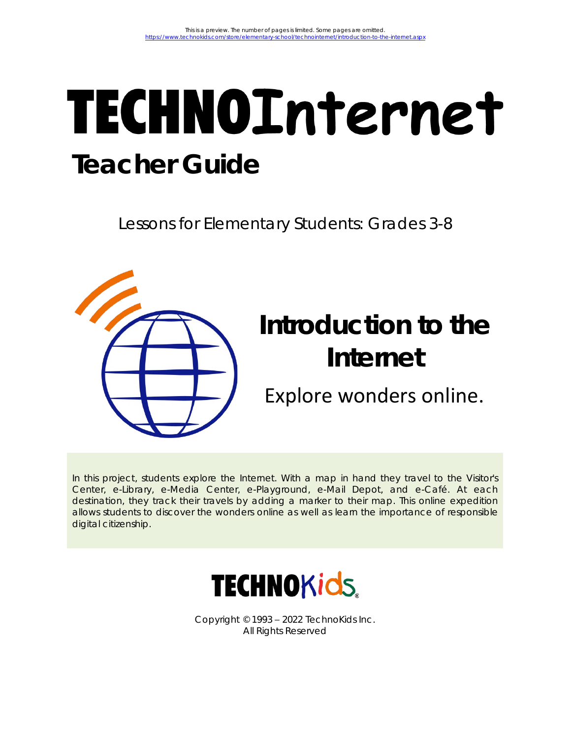# **TECHNOInternet Teacher Guide**

Lessons for Elementary Students: Grades 3-8



In this project, students explore the Internet. With a map in hand they travel to the Visitor's Center, e-Library, e-Media Center, e-Playground, e-Mail Depot, and e-Café. At each destination, they track their travels by adding a marker to their map. This online expedition allows students to discover the wonders online as well as learn the importance of responsible digital citizenship.



Copyright © 1993 – 2022 TechnoKids Inc. All Rights Reserved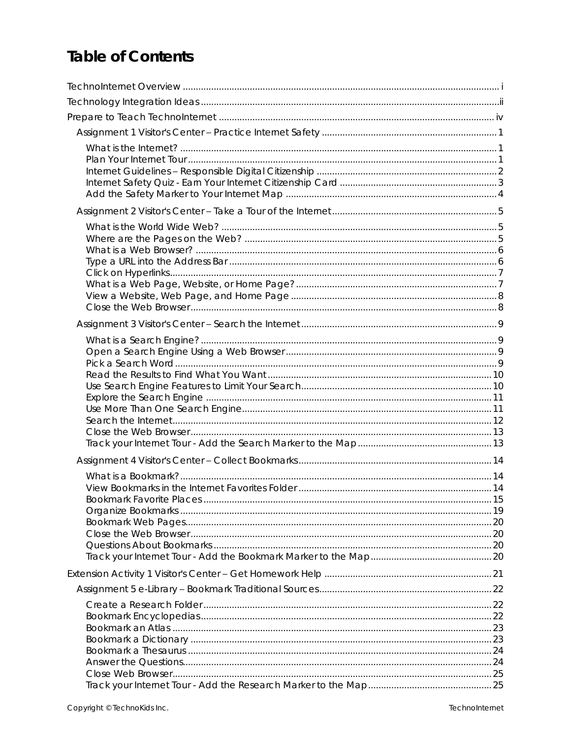# Table of Contents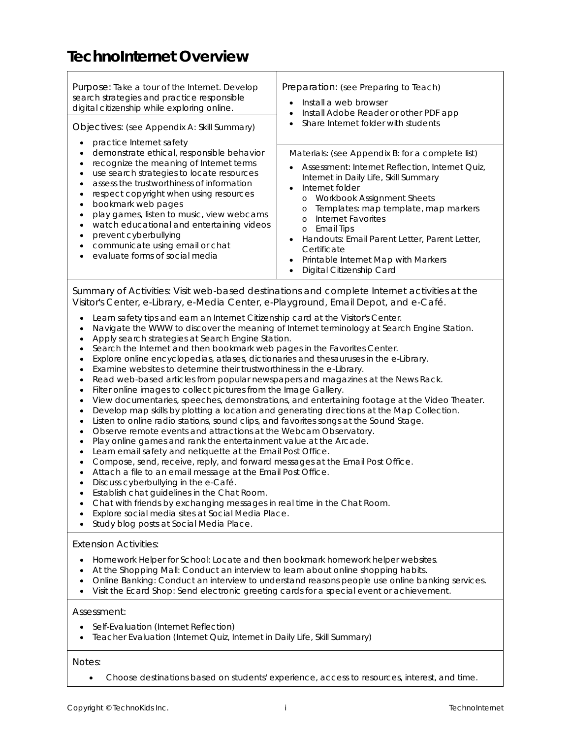# **TechnoInternet Overview**

| Purpose: Take a tour of the Internet. Develop<br>search strategies and practice responsible<br>digital citizenship while exploring online.<br>Objectives: (see Appendix A: Skill Summary)                                                                                                                                                                                                                                                                                                                                             | Preparation: (see Preparing to Teach)<br>Install a web browser<br>$\bullet$<br>Install Adobe Reader or other PDF app<br>$\bullet$<br>Share Internet folder with students                                                                                                                                                                                                                                                                                                                                             |
|---------------------------------------------------------------------------------------------------------------------------------------------------------------------------------------------------------------------------------------------------------------------------------------------------------------------------------------------------------------------------------------------------------------------------------------------------------------------------------------------------------------------------------------|----------------------------------------------------------------------------------------------------------------------------------------------------------------------------------------------------------------------------------------------------------------------------------------------------------------------------------------------------------------------------------------------------------------------------------------------------------------------------------------------------------------------|
| practice Internet safety<br>demonstrate ethical, responsible behavior<br>$\bullet$<br>recognize the meaning of Internet terms<br>$\bullet$<br>use search strategies to locate resources<br>٠<br>assess the trustworthiness of information<br>respect copyright when using resources<br>bookmark web pages<br>$\bullet$<br>play games, listen to music, view webcams<br>watch educational and entertaining videos<br>٠<br>prevent cyberbullying<br>٠<br>communicate using email or chat<br>$\bullet$<br>evaluate forms of social media | Materials: (see Appendix B: for a complete list)<br>Assessment: Internet Reflection, Internet Quiz,<br>$\bullet$<br>Internet in Daily Life, Skill Summary<br>Internet folder<br>$\bullet$<br>Workbook Assignment Sheets<br>$\circ$<br>Templates: map template, map markers<br>$\circ$<br>Internet Favorites<br>$\Omega$<br><b>Email Tips</b><br>$\circ$<br>Handouts: Email Parent Letter, Parent Letter,<br>Certificate<br>Printable Internet Map with Markers<br>$\bullet$<br>Digital Citizenship Card<br>$\bullet$ |
|                                                                                                                                                                                                                                                                                                                                                                                                                                                                                                                                       |                                                                                                                                                                                                                                                                                                                                                                                                                                                                                                                      |

*Summary of Activities:* Visit web-based destinations and complete Internet activities at the Visitor's Center, e-Library, e-Media Center, e-Playground, Email Depot, and e-Café.

- Learn safety tips and earn an Internet Citizenship card at the Visitor's Center.
- Navigate the WWW to discover the meaning of Internet terminology at Search Engine Station.
- Apply search strategies at Search Engine Station.
- Search the Internet and then bookmark web pages in the Favorites Center.
- Explore online encyclopedias, atlases, dictionaries and thesauruses in the e-Library.
- Examine websites to determine their trustworthiness in the e-Library.
- Read web-based articles from popular newspapers and magazines at the News Rack.
- Filter online images to collect pictures from the Image Gallery.
- View documentaries, speeches, demonstrations, and entertaining footage at the Video Theater.
- Develop map skills by plotting a location and generating directions at the Map Collection.
- Listen to online radio stations, sound clips, and favorites songs at the Sound Stage.
- Observe remote events and attractions at the Webcam Observatory.
- Play online games and rank the entertainment value at the Arcade.
- Learn email safety and netiquette at the Email Post Office.
- Compose, send, receive, reply, and forward messages at the Email Post Office.
- Attach a file to an email message at the Email Post Office.
- Discuss cyberbullying in the e-Café.
- Establish chat guidelines in the Chat Room.
- Chat with friends by exchanging messages in real time in the Chat Room.
- Explore social media sites at Social Media Place.
- Study blog posts at Social Media Place.

## *Extension Activities:*

- Homework Helper for School: Locate and then bookmark homework helper websites.
- At the Shopping Mall: Conduct an interview to learn about online shopping habits.
- Online Banking: Conduct an interview to understand reasons people use online banking services.
- Visit the Ecard Shop: Send electronic greeting cards for a special event or achievement.

## *Assessment:*

- Self-Evaluation (Internet Reflection)
- Teacher Evaluation (Internet Quiz, Internet in Daily Life, Skill Summary)

## *Notes:*

• Choose destinations based on students' experience, access to resources, interest, and time.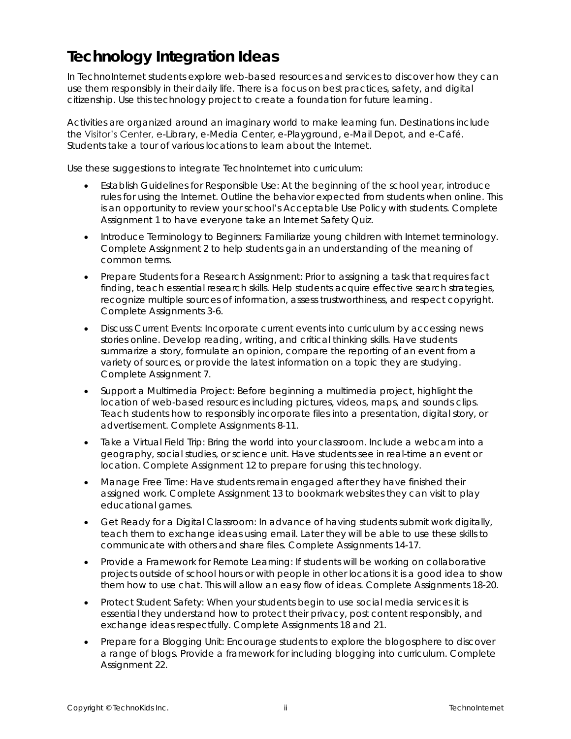# **Technology Integration Ideas**

In TechnoInternet students explore web-based resources and services to discover how they can use them responsibly in their daily life. There is a focus on best practices, safety, and digital citizenship. Use this technology project to create a foundation for future learning.

Activities are organized around an imaginary world to make learning fun. Destinations include the Visitor's Center, e-Library, e-Media Center, e-Playground, e-Mail Depot, and e-Café. Students take a tour of various locations to learn about the Internet.

Use these suggestions to integrate TechnoInternet into curriculum:

- *Establish Guidelines for Responsible Use:* At the beginning of the school year, introduce rules for using the Internet. Outline the behavior expected from students when online. This is an opportunity to review your school's Acceptable Use Policy with students. Complete Assignment 1 to have everyone take an Internet Safety Quiz.
- *Introduce Terminology to Beginners:* Familiarize young children with Internet terminology. Complete Assignment 2 to help students gain an understanding of the meaning of common terms.
- *Prepare Students for a Research Assignment:* Prior to assigning a task that requires fact finding, teach essential research skills. Help students acquire effective search strategies, recognize multiple sources of information, assess trustworthiness, and respect copyright. Complete Assignments 3-6.
- *Discuss Current Events:* Incorporate current events into curriculum by accessing news stories online. Develop reading, writing, and critical thinking skills. Have students summarize a story, formulate an opinion, compare the reporting of an event from a variety of sources, or provide the latest information on a topic they are studying. Complete Assignment 7.
- *Support a Multimedia Project:* Before beginning a multimedia project, highlight the location of web-based resources including pictures, videos, maps, and sounds clips. Teach students how to responsibly incorporate files into a presentation, digital story, or advertisement. Complete Assignments 8-11.
- *Take a Virtual Field Trip*: Bring the world into your classroom. Include a webcam into a geography, social studies, or science unit. Have students see in real-time an event or location. Complete Assignment 12 to prepare for using this technology.
- *Manage Free Time:* Have students remain engaged after they have finished their assigned work. Complete Assignment 13 to bookmark websites they can visit to play educational games.
- *Get Ready for a Digital Classroom:* In advance of having students submit work digitally, teach them to exchange ideas using email. Later they will be able to use these skills to communicate with others and share files. Complete Assignments 14-17.
- *Provide a Framework for Remote Learning:* If students will be working on collaborative projects outside of school hours or with people in other locations it is a good idea to show them how to use chat. This will allow an easy flow of ideas. Complete Assignments 18-20.
- *Protect Student Safety:* When your students begin to use social media services it is essential they understand how to protect their privacy, post content responsibly, and exchange ideas respectfully. Complete Assignments 18 and 21.
- *Prepare for a Blogging Unit:* Encourage students to explore the blogosphere to discover a range of blogs. Provide a framework for including blogging into curriculum. Complete Assignment 22.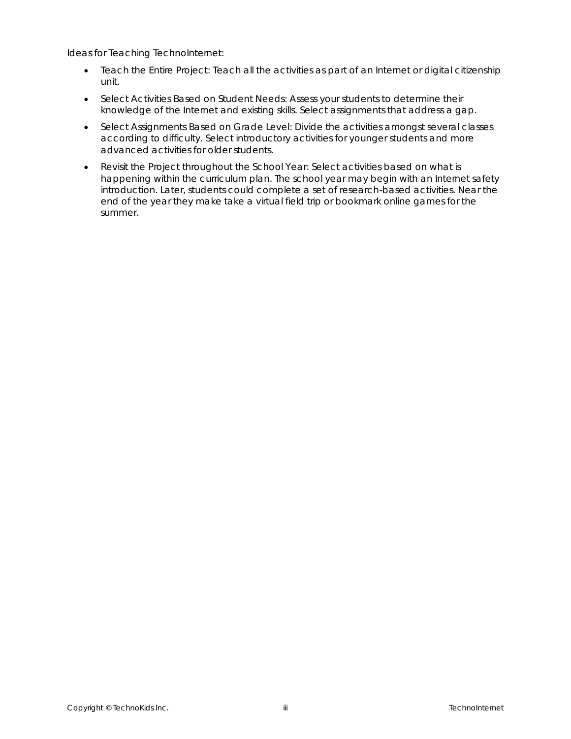Ideas for Teaching TechnoInternet:

- *Teach the Entire Project*: Teach all the activities as part of an Internet or digital citizenship unit.
- *Select Activities Based on Student Needs*: Assess your students to determine their knowledge of the Internet and existing skills. Select assignments that address a gap.
- *Select Assignments Based on Grade Level*: Divide the activities amongst several classes according to difficulty. Select introductory activities for younger students and more advanced activities for older students.
- *Revisit the Project throughout the School Year*: Select activities based on what is happening within the curriculum plan. The school year may begin with an Internet safety introduction. Later, students could complete a set of research-based activities. Near the end of the year they make take a virtual field trip or bookmark online games for the summer.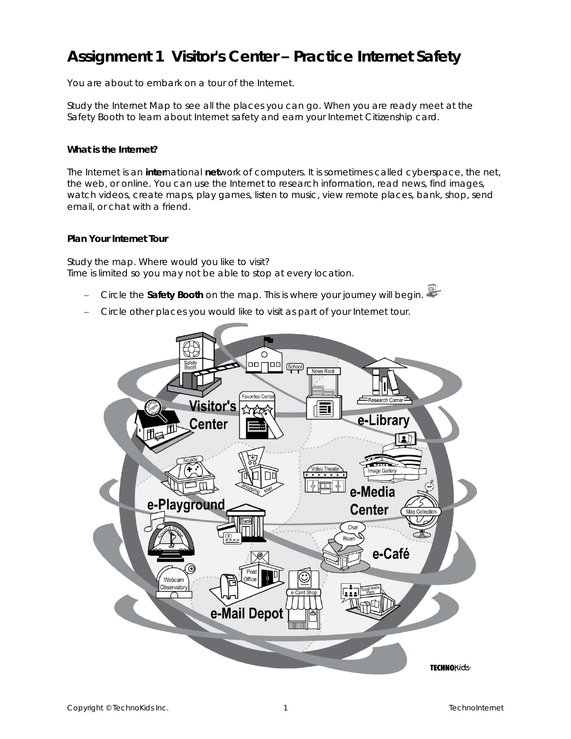# **Assignment 1 Visitor's Center – Practice Internet Safety**

You are about to embark on a tour of the Internet.

Study the Internet Map to see all the places you can go. When you are ready meet at the *Safety Booth* to learn about Internet safety and earn your Internet Citizenship card.

**What is the Internet?**

The Internet is an **inter**national **net**work of computers. It is sometimes called *cyberspace*, the *net,* the *web*, or *online*. You can use the Internet to research information, read news, find images, watch videos, create maps, play games, listen to music, view remote places, bank, shop, send email, or chat with a friend.

#### **Plan Your Internet Tour**

Study the map. Where would you like to visit? Time is limited so you may not be able to stop at every location.

- − Circle the **Safety Booth** on the map. This is where your journey will begin.
- − Circle other places you would like to visit as part of your Internet tour.

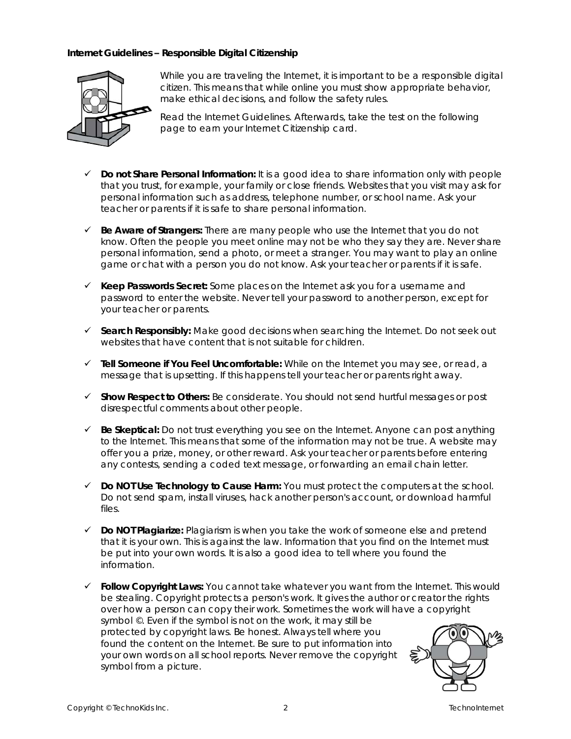**Internet Guidelines – Responsible Digital Citizenship**



While you are traveling the Internet, it is important to be a responsible digital citizen. This means that while online you must show appropriate behavior, make ethical decisions, and follow the safety rules.

Read the *Internet Guidelines*. Afterwards, take the test on the following page to earn your *Internet Citizenship card.*

- ✓ *Do not Share Personal Information:* It is a good idea to share information only with people that you trust, for example, your family or close friends. Websites that you visit may ask for personal information such as address, telephone number, or school name. Ask your teacher or parents if it is safe to share personal information.
- ✓ *Be Aware of Strangers***:** There are many people who use the Internet that you do not know. Often the people you meet online may not be who they say they are. Never share personal information, send a photo, or meet a stranger. You may want to play an online game or chat with a person you do not know. Ask your teacher or parents if it is safe.
- ✓ *Keep Passwords Secret:* Some places on the Internet ask you for a username and password to enter the website. Never tell your password to another person, except for your teacher or parents.
- ✓ *Search Responsibly:* Make good decisions when searching the Internet. Do not seek out websites that have content that is not suitable for children.
- ✓ *Tell Someone if You Feel Uncomfortable:* While on the Internet you may see, or read, a message that is upsetting. If this happens tell your teacher or parents right away.
- ✓ *Show Respect to Others:* Be considerate. You should not send hurtful messages or post disrespectful comments about other people.
- ✓ *Be Skeptical:* Do not trust everything you see on the Internet. Anyone can post anything to the Internet. This means that some of the information may not be true. A website may offer you a prize, money, or other reward. Ask your teacher or parents before entering any contests, sending a coded text message, or forwarding an email chain letter.
- ✓ *Do NOT Use Technology to Cause Harm:* You must protect the computers at the school. Do not send spam, install viruses, hack another person's account, or download harmful files.
- ✓ *Do NOT Plagiarize:* Plagiarism is when you take the work of someone else and pretend that it is your own. This is against the law. Information that you find on the Internet must be put into your own words. It is also a good idea to tell where you found the information.
- ✓ *Follow Copyright Laws:* You cannot take whatever you want from the Internet. This would be stealing. Copyright protects a person's work. It gives the author or creator the rights over how a person can copy their work. Sometimes the work will have a copyright symbol ©. Even if the symbol is not on the work, it may still be protected by copyright laws. Be honest. Always tell where you found the content on the Internet. Be sure to put information into your own words on all school reports. Never remove the copyright symbol from a picture.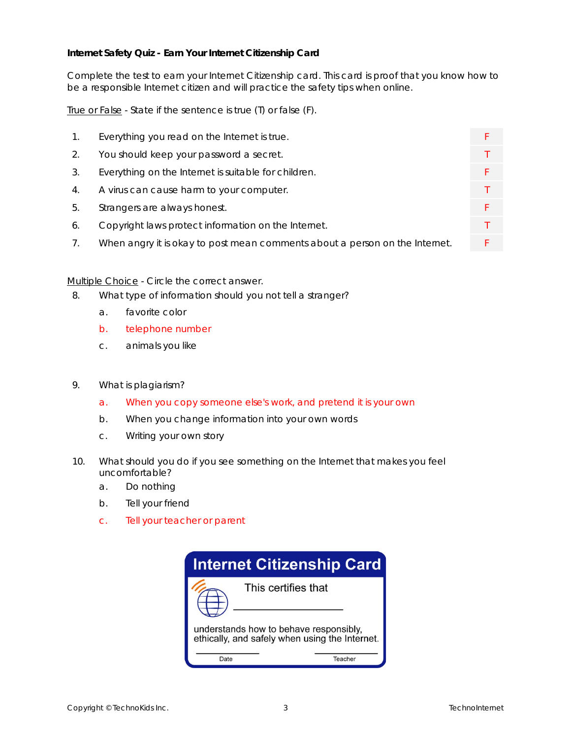**Internet Safety Quiz - Earn Your Internet Citizenship Card**

Complete the test to earn your *Internet Citizenship card*. This card is proof that you know how to be a responsible Internet citizen and will practice the safety tips when online.

True or False - State if the sentence is true (T) or false (F).

- 1. Everything you read on the Internet is true.
- 2. You should keep your password a secret.
- 3. Everything on the Internet is suitable for children.
- 4. A virus can cause harm to your computer.
- 5. Strangers are always honest.
- 6. Copyright laws protect information on the Internet.
- 7. When angry it is okay to post mean comments about a person on the Internet. F

Multiple Choice - Circle the correct answer.

- 8. What type of information should you not tell a stranger?
	- a. favorite color
	- b. telephone number
	- c. animals you like
- 9. What is plagiarism?
	- a. When you copy someone else's work, and pretend it is your own
	- b. When you change information into your own words
	- c. Writing your own story
- 10. What should you do if you see something on the Internet that makes you feel uncomfortable?
	- a. Do nothing
	- b. Tell your friend
	- c. Tell your teacher or parent

| <b>Internet Citizenship Card</b>                                                         |         |  |  |  |
|------------------------------------------------------------------------------------------|---------|--|--|--|
| This certifies that                                                                      |         |  |  |  |
| understands how to behave responsibly,<br>ethically, and safely when using the Internet. |         |  |  |  |
| Date                                                                                     | Teacher |  |  |  |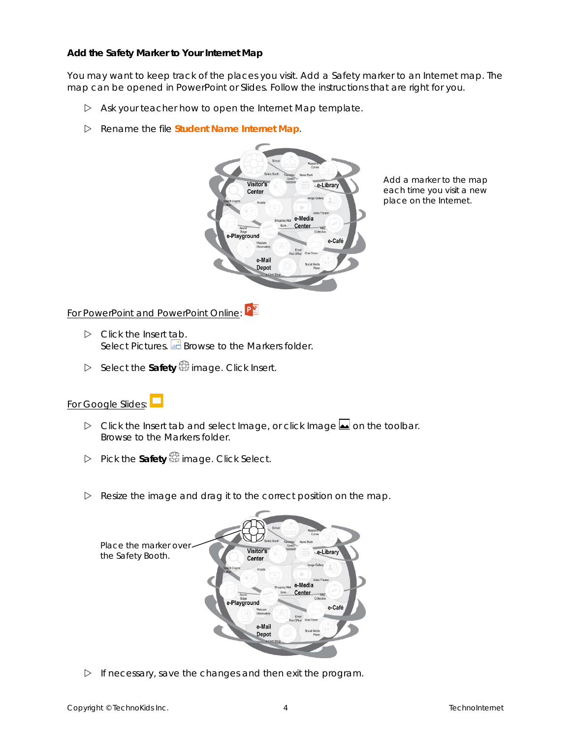**Add the Safety Marker to Your Internet Map**

You may want to keep track of the places you visit. Add a *Safety* marker to an Internet map. The map can be opened in PowerPoint or Slides. Follow the instructions that are right for you.

- Ask your teacher how to open the *Internet Map* template.
- Rename the file **Student Name Internet Map**.



Add a marker to the map each time you visit a new place on the Internet.

For PowerPoint and PowerPoint Online: PE

- Click the *Insert* tab. Select Pictures.  $\Box$  Browse to the *Markers* folder.
- Select the **Safety** image. Click *Insert*.

## For Google Slides:

- **D** Click the *Insert* tab and select *Image*, or click *Image* **lea** on the toolbar. Browse to the *Markers* folder.
- Pick the **Safety** image. Click *Select*.
- $\triangleright$  Resize the image and drag it to the correct position on the map.



 $\triangleright$  If necessary, save the changes and then exit the program.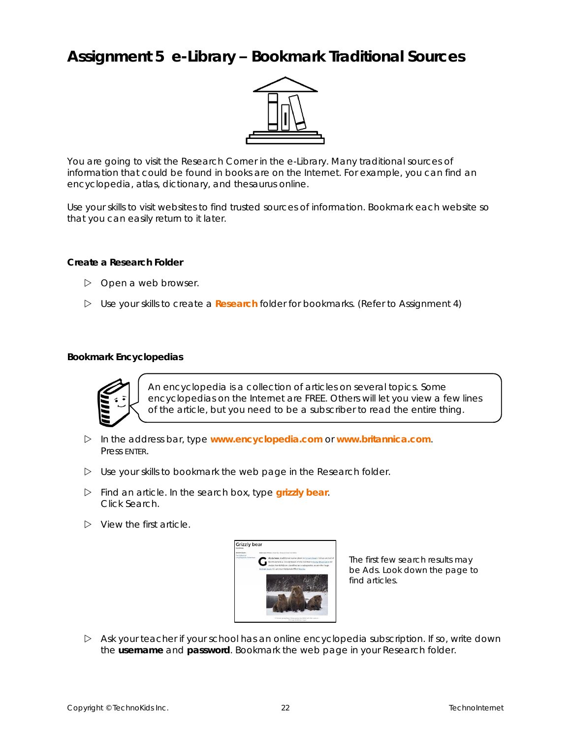## **Assignment 5 e-Library – Bookmark Traditional Sources**



You are going to visit the Research Corner in the e-Library. Many traditional sources of information that could be found in books are on the Internet. For example, you can find an encyclopedia, atlas, dictionary, and thesaurus online.

Use your skills to visit websites to find trusted sources of information. Bookmark each website so that you can easily return to it later.

**Create a Research Folder**

- $\triangleright$  Open a web browser.
- Use your skills to create a **Research** folder for bookmarks. *(Refer to Assignment 4)*

#### **Bookmark Encyclopedias**



An encyclopedia is a collection of articles on several topics. Some encyclopedias on the Internet are FREE. Others will let you view a few lines of the article, but you need to be a subscriber to read the entire thing.

- In the address bar, type **www.encyclopedia.com** or **www.britannica.com**. Press ENTER.
- Use your skills to bookmark the web page in the *Research* folder.
- Find an article. In the search box, type **grizzly bear**. Click *Search*.
- $\triangleright$  View the first article.



The first few search results may be Ads. Look down the page to find articles.

 Ask your teacher if your school has an online encyclopedia subscription. If so, write down the **username** and **password**. Bookmark the web page in your *Research* folder.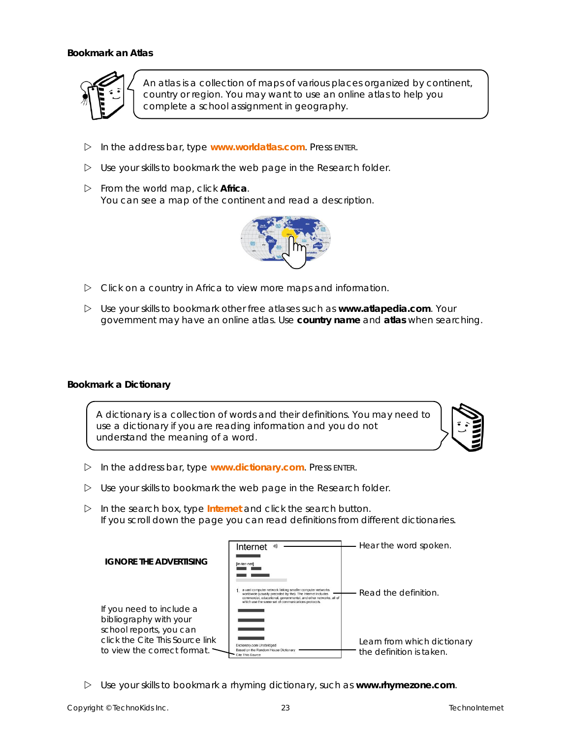**Bookmark an Atlas**



An *atlas* is a collection of maps of various places organized by continent, country or region. You may want to use an online atlas to help you complete a school assignment in geography.

- In the address bar, type **www.worldatlas.com**. Press ENTER.
- Use your skills to bookmark the web page in the *Research* folder.
- From the world map, click **Africa**. You can see a map of the continent and read a description.



- $\triangleright$  Click on a country in Africa to view more maps and information.
- Use your skills to bookmark other free atlases such as **www.atlapedia.com**. Your government may have an online atlas. Use **country name** and **atlas** when searching.

**Bookmark a Dictionary**

A dictionary is a collection of words and their definitions. You may need to use a dictionary if you are reading information and you do not understand the meaning of a word.



- In the address bar, type **www.dictionary.com**. Press ENTER.
- Use your skills to bookmark the web page in the *Research* folder.
- In the search box, type **Internet** and click the search button. If you scroll down the page you can read definitions from different dictionaries.

|                                                                | Internet                                                                                                                                                                                                                                            | Hear the word spoken.                                   |
|----------------------------------------------------------------|-----------------------------------------------------------------------------------------------------------------------------------------------------------------------------------------------------------------------------------------------------|---------------------------------------------------------|
| IGNORE THE ADVERTISING                                         | [in-ter-net]                                                                                                                                                                                                                                        |                                                         |
|                                                                |                                                                                                                                                                                                                                                     |                                                         |
|                                                                | a vast computer network linking smaller computer networks<br>worldwide (usually preceded by the). The Internet includes<br>commercial, educational, governmental, and other networks, all of<br>which use the same set of communications protocols. | Read the definition.                                    |
| If you need to include a                                       |                                                                                                                                                                                                                                                     |                                                         |
| bibliography with your                                         |                                                                                                                                                                                                                                                     |                                                         |
| school reports, you can                                        |                                                                                                                                                                                                                                                     |                                                         |
| click the Cite This Source link<br>to view the correct format. | Dictionary.com Unabridged<br>Based on the Random House Dictionary<br>Cite This Source                                                                                                                                                               | Learn from which dictionary<br>the definition is taken. |

Use your skills to bookmark a rhyming dictionary, such as **www.rhymezone.com**.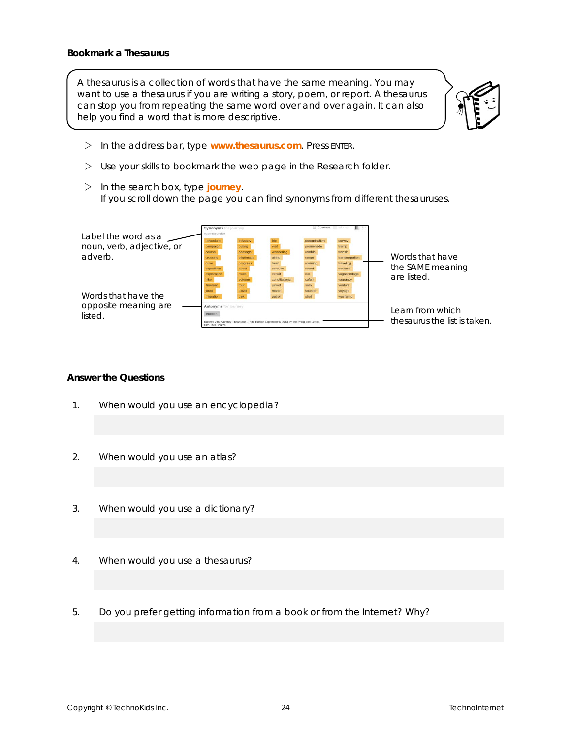A thesaurus is a collection of words that have the same meaning. You may want to use a thesaurus if you are writing a story, poem, or report. A thesaurus can stop you from repeating the same word over and over again. It can also help you find a word that is more descriptive.



- In the address bar, type **www.thesaurus.com**. Press ENTER.
- Use your skills to bookmark the web page in the *Research* folder.
- $\triangleright$  In the search box, type journey. If you scroll down the page you can find synonyms from different thesauruses.

| Label the word as a                  | Synonyms for journey<br>noun excursion<br>adventure          | odysser                                                                                 |                                                                   | Common<br>peregrination                        | $\equiv$<br>survey                                                    |                                                    |
|--------------------------------------|--------------------------------------------------------------|-----------------------------------------------------------------------------------------|-------------------------------------------------------------------|------------------------------------------------|-----------------------------------------------------------------------|----------------------------------------------------|
| noun, verb, adjective, or<br>adverb. | campaign<br>course<br>crossing<br>drive                      | outing<br>passage<br>pilgrimage<br>progress                                             | visit<br>wandering<br>airing<br>beat                              | promenade<br>ramble<br>range<br>roaming        | tramp<br>transit<br>transmigration<br>traveling                       | Words that have<br>the SAME meaning                |
| Words that have the                  | expedition<br>exploration<br>itinerary<br>tound<br>migration | quest<br>route<br>sojourn<br>tour<br>travel                                             | caravar<br>circuit<br>constitutional<br>junket<br>march<br>patrol | round<br>$n$ in<br>safari<br>saunter<br>stroll | traverse<br>vagabondage<br>vagrancy<br>venture<br>voyage<br>wavfaring | are listed.                                        |
| opposite meaning are<br>listed.      | Antonyms for journey<br><i>inaction</i><br>Cite This Source  | Roget's 21st Century Thesaurus. Third Edition Copyright @ 2013 by the Philip Lief Group |                                                                   |                                                |                                                                       | l earn from which.<br>thesaurus the list is taken. |

#### **Answer the Questions**

- 1. When would you use an encyclopedia?
- 2. When would you use an atlas?
- 3. When would you use a dictionary?
- 4. When would you use a thesaurus?
- 5. Do you prefer getting information from a book or from the Internet? Why?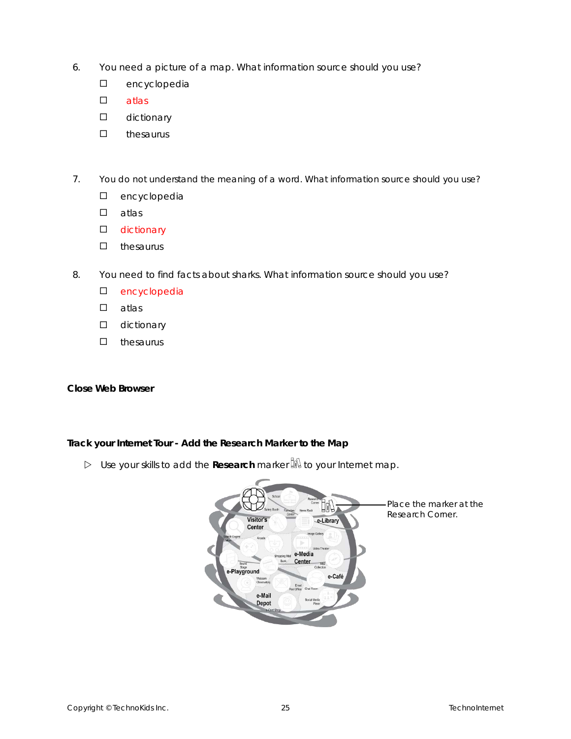- 6. You need a picture of a map. What information source should you use?
	- D encyclopedia
	- $\square$  atlas
	- **dictionary**
	- $\square$  thesaurus
- 7. You do not understand the meaning of a word. What information source should you use?
	- D encyclopedia
	- atlas
	- **D** dictionary
	- $\square$  thesaurus
- 8. You need to find facts about sharks. What information source should you use?
	- D encyclopedia
	- $\square$  atlas
	- **D** dictionary
	- $\square$  thesaurus

**Close Web Browser**

**Track your Internet Tour - Add the Research Marker to the Map**

**D** Use your skills to add the Research marker  $\frac{1}{2}$  to your Internet map.

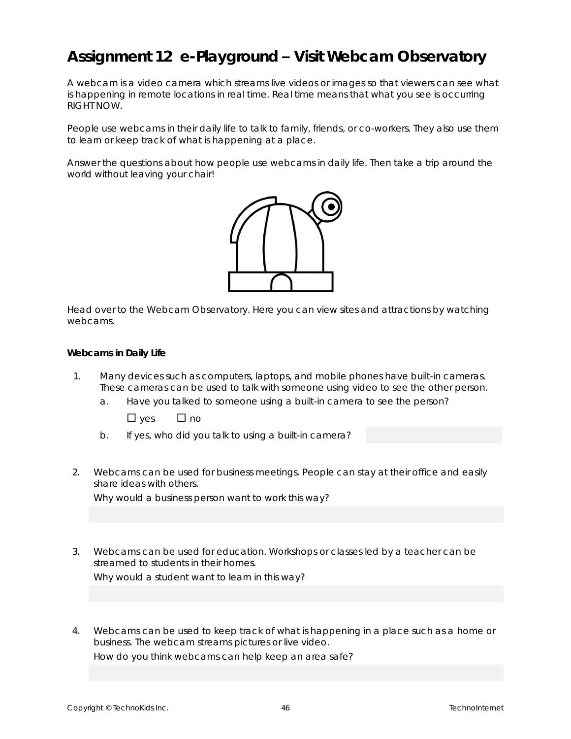# **Assignment 12 e-Playground – Visit Webcam Observatory**

A *webcam* is a video camera which streams live videos or images so that viewers can see what is happening in remote locations in *real time*. Real time means that what you see is occurring RIGHT NOW.

People use webcams in their daily life to talk to family, friends, or co-workers. They also use them to learn or keep track of what is happening at a place.

Answer the questions about how people use webcams in daily life. Then take a trip around the world without leaving your chair!



Head over to the Webcam Observatory. Here you can view sites and attractions by watching webcams.

**Webcams in Daily Life**

- 1. Many devices such as computers, laptops, and mobile phones have built-in cameras. These cameras can be used to talk with someone using video to see the other person.
	- a. Have you talked to someone using a built-in camera to see the person?
		- $\Box$  yes  $\Box$  no
	- b. If yes, who did you talk to using a built-in camera?
- 2. Webcams can be used for business meetings. People can stay at their office and easily share ideas with others.

Why would a business person want to work this way?

- 3. Webcams can be used for education. Workshops or classes led by a teacher can be streamed to students in their homes. Why would a student want to learn in this way?
- 4. Webcams can be used to keep track of what is happening in a place such as a home or business. The webcam streams pictures or live video. How do you think webcams can help keep an area safe?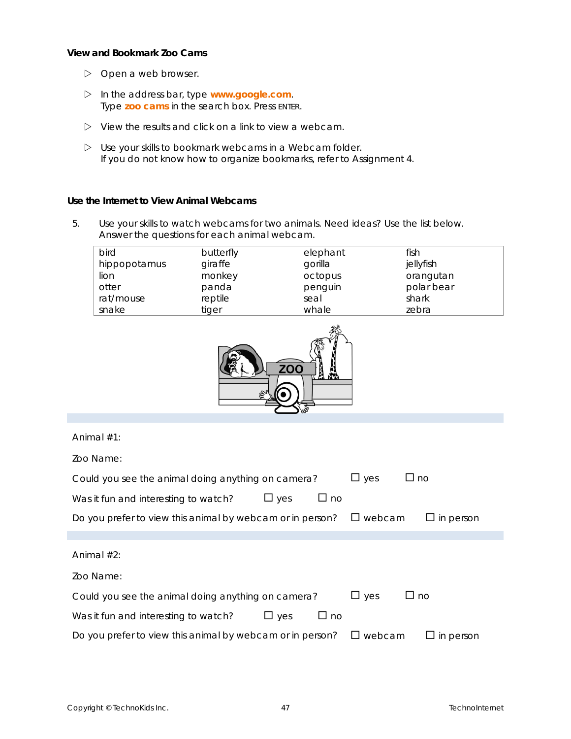**View and Bookmark Zoo Cams**

- $\triangleright$  Open a web browser.
- In the address bar, type **www.google.com**. Type **zoo cams** in the search box. Press ENTER.
- $\triangleright$  View the results and click on a link to view a webcam.
- Use your skills to bookmark webcams in a *Webcam* folder. *If you do not know how to organize bookmarks, refer to Assignment 4.*

**Use the Internet to View Animal Webcams**

5. Use your skills to watch webcams for two animals. Need ideas? Use the list below. Answer the questions for each animal webcam.

| <b>bird</b>  | butterfly | elephant | fish       |
|--------------|-----------|----------|------------|
| hippopotamus | giraffe   | gorilla  | jellyfish  |
| lion         | monkey    | octopus  | orangutan  |
| otter        | panda     | penguin  | polar bear |
| rat/mouse    | reptile   | seal     | shark      |
| snake        | tiger     | whale    | zebra      |



Animal #1:

Zoo Name:

| Could you see the animal doing anything on camera?        |               | $\sqcup$ yes | $\Box$ no     |                  |
|-----------------------------------------------------------|---------------|--------------|---------------|------------------|
| Was it fun and interesting to watch?                      | $\square$ yes | $\Box$ no    |               |                  |
| Do you prefer to view this animal by webcam or in person? |               |              | $\Box$ webcam | $\Box$ in person |
|                                                           |               |              |               |                  |
| Animal $#2$ :                                             |               |              |               |                  |
| Zoo Name:                                                 |               |              |               |                  |
| Could you see the animal doing anything on camera?        |               |              | $\sqcup$ yes  | $\Box$ no        |
| Was it fun and interesting to watch?                      | $\sqcup$ yes  | $\Box$ no    |               |                  |
| Do you prefer to view this animal by webcam or in person? |               |              | webcam<br>ப   | $\Box$ in person |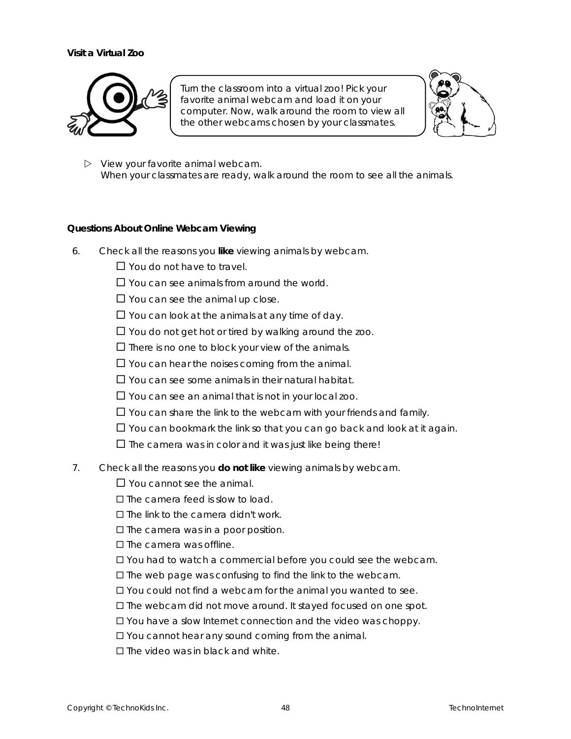#### **Visit a Virtual Zoo**



Turn the classroom into a virtual zoo! Pick your favorite animal webcam and load it on your computer. Now, walk around the room to view all the other webcams chosen by your classmates.



 $\triangleright$  View your favorite animal webcam. When your classmates are ready, walk around the room to see all the animals.

#### **Questions About Online Webcam Viewing**

- 6. Check all the reasons you **like** viewing animals by webcam.
	- □ You do not have to travel.
	- $\Box$  You can see animals from around the world.
	- $\Box$  You can see the animal up close.
	- $\Box$  You can look at the animals at any time of day.
	- $\Box$  You do not get hot or tired by walking around the zoo.
	- $\square$  There is no one to block your view of the animals.
	- $\Box$  You can hear the noises coming from the animal.
	- $\Box$  You can see some animals in their natural habitat.
	- $\Box$  You can see an animal that is not in your local zoo.
	- $\Box$  You can share the link to the webcam with your friends and family.
	- $\Box$  You can bookmark the link so that you can go back and look at it again.
	- $\square$  The camera was in color and it was just like being there!
- 7. Check all the reasons you **do not like** viewing animals by webcam.

 $\Box$  You cannot see the animal.

- The camera feed is slow to load.
- $\square$  The link to the camera didn't work.
- $\square$  The camera was in a poor position.

 $\square$  The camera was offline.

- You had to watch a commercial before you could see the webcam.
- $\square$  The web page was confusing to find the link to the webcam.
- You could not find a webcam for the animal you wanted to see.
- The webcam did not move around. It stayed focused on one spot.
- You have a slow Internet connection and the video was choppy.
- □ You cannot hear any sound coming from the animal.
- The video was in black and white.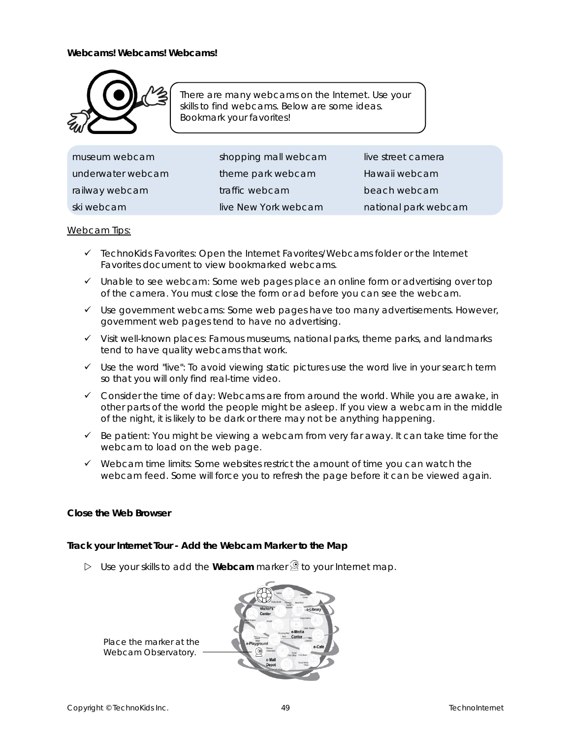

There are many webcams on the Internet. Use your skills to find webcams. Below are some ideas. Bookmark your favorites!

| museum webcam     | shopping mall webcam | live street camera   |
|-------------------|----------------------|----------------------|
| underwater webcam | theme park webcam    | Hawaii webcam        |
| railway webcam    | traffic webcam       | beach webcam         |
| ski webcam        | live New York webcam | national park webcam |

#### Webcam Tips:

- ✓ *TechnoKids Favorites:* Open the Internet Favorites/Webcams folder or the Internet Favorites document to view bookmarked webcams.
- ✓ *Unable to see webcam:* Some web pages place an online form or advertising over top of the camera. You must close the form or ad before you can see the webcam.
- ✓ *Use government webcams:* Some web pages have too many advertisements. However, government web pages tend to have no advertising.
- ✓ *Visit well-known places:* Famous museums, national parks, theme parks, and landmarks tend to have quality webcams that work.
- ✓ *Use the word "live":* To avoid viewing static pictures use the word *live* in your search term so that you will only find real-time video.
- ✓ *Consider the time of day:* Webcams are from around the world. While you are awake, in other parts of the world the people might be asleep. If you view a webcam in the middle of the night, it is likely to be dark or there may not be anything happening.
- ✓ *Be patient:* You might be viewing a webcam from very far away. It can take time for the webcam to load on the web page.
- ✓ *Webcam time limits:* Some websites restrict the amount of time you can watch the webcam feed. Some will force you to refresh the page before it can be viewed again.

**Close the Web Browser**

**Track your Internet Tour - Add the Webcam Marker to the Map**

 $\triangleright$  Use your skills to add the Webcam marker  $\mathcal Q$  to your Internet map.

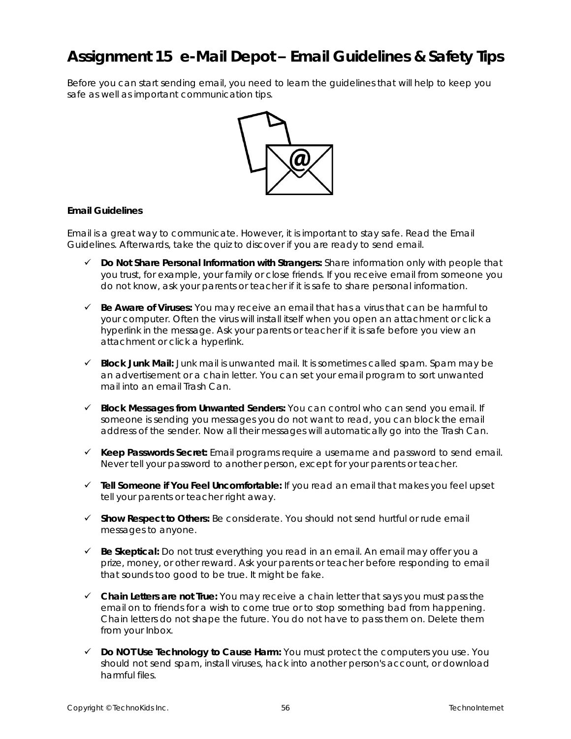# **Assignment 15 e-Mail Depot – Email Guidelines & Safety Tips**

Before you can start sending email, you need to learn the guidelines that will help to keep you safe as well as important communication tips.



#### **Email Guidelines**

Email is a great way to communicate. However, it is important to stay safe. Read the *Email Guidelines*. Afterwards, take the quiz to discover if you are ready to send email.

- ✓ *Do Not Share Personal Information with Strangers:* Share information only with people that you trust, for example, your family or close friends. If you receive email from someone you do not know, ask your parents or teacher if it is safe to share personal information.
- ✓ *Be Aware of Viruses:* You may receive an email that has a virus that can be harmful to your computer. Often the virus will install itself when you open an attachment or click a hyperlink in the message. Ask your parents or teacher if it is safe before you view an attachment or click a hyperlink.
- ✓ *Block Junk Mail:* Junk mail is unwanted mail. It is sometimes called spam. Spam may be an advertisement or a chain letter. You can set your email program to sort unwanted mail into an email Trash Can.
- ✓ *Block Messages from Unwanted Senders:* You can control who can send you email. If someone is sending you messages you do not want to read, you can block the email address of the sender. Now all their messages will automatically go into the Trash Can.
- ✓ *Keep Passwords Secret:* Email programs require a username and password to send email. Never tell your password to another person, except for your parents or teacher.
- ✓ *Tell Someone if You Feel Uncomfortable:* If you read an email that makes you feel upset tell your parents or teacher right away.
- ✓ *Show Respect to Others:* Be considerate. You should not send hurtful or rude email messages to anyone.
- ✓ *Be Skeptical:* Do not trust everything you read in an email. An email may offer you a prize, money, or other reward. Ask your parents or teacher before responding to email that sounds too good to be true. It might be fake.
- ✓ *Chain Letters are not True:* You may receive a chain letter that says you must pass the email on to friends for a wish to come true or to stop something bad from happening. Chain letters do not shape the future. You do not have to pass them on. Delete them from your Inbox.
- ✓ *Do NOT Use Technology to Cause Harm:* You must protect the computers you use. You should not send spam, install viruses, hack into another person's account, or download harmful files.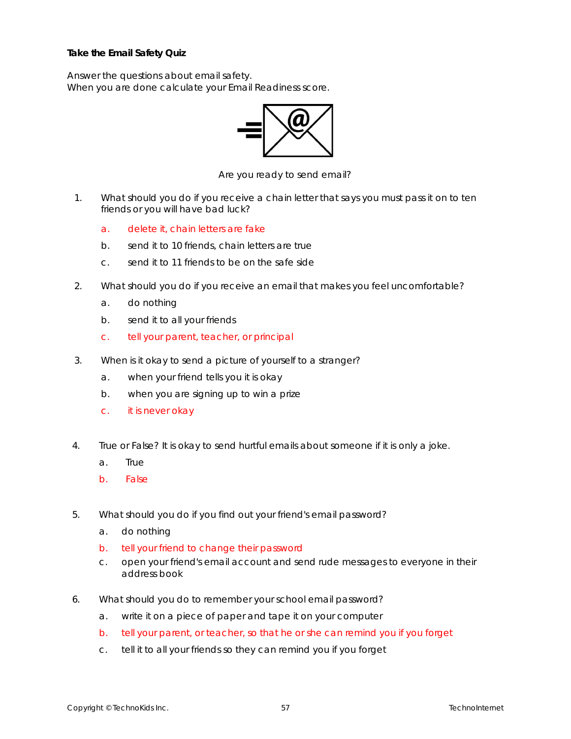**Take the Email Safety Quiz**

Answer the questions about email safety. When you are done calculate your *Email Readiness* score.



*Are you ready to send email?*

- 1. What should you do if you receive a chain letter that says you must pass it on to ten friends or you will have bad luck?
	- a. delete it, chain letters are fake
	- b. send it to 10 friends, chain letters are true
	- c. send it to 11 friends to be on the safe side
- 2. What should you do if you receive an email that makes you feel uncomfortable?
	- a. do nothing
	- b. send it to all your friends
	- c. tell your parent, teacher, or principal
- 3. When is it okay to send a picture of yourself to a stranger?
	- a. when your friend tells you it is okay
	- b. when you are signing up to win a prize
	- c. it is never okay
- 4. True or False? It is okay to send hurtful emails about someone if it is only a joke.
	- a. True
	- b. False
- 5. What should you do if you find out your friend's email password?
	- a. do nothing
	- b. tell your friend to change their password
	- c. open your friend's email account and send rude messages to everyone in their address book
- 6. What should you do to remember your school email password?
	- a. write it on a piece of paper and tape it on your computer
	- b. tell your parent, or teacher, so that he or she can remind you if you forget
	- c. tell it to all your friends so they can remind you if you forget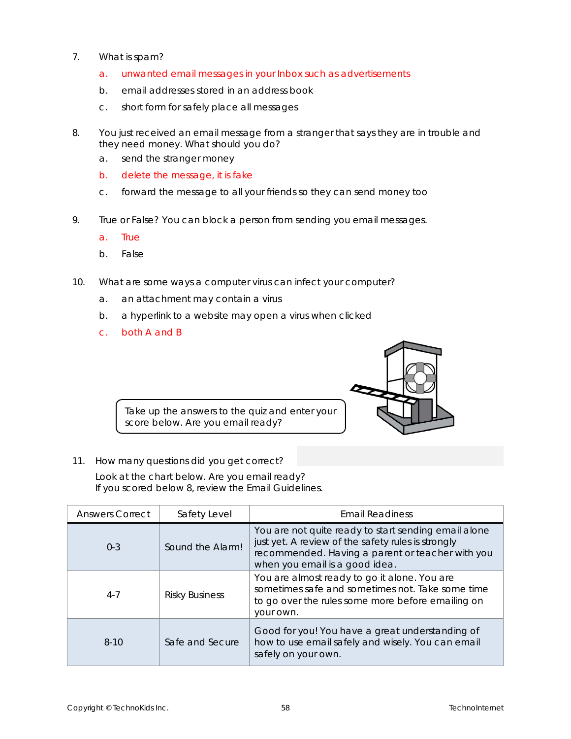- 7. What is spam?
	- a. unwanted email messages in your Inbox such as advertisements
	- b. email addresses stored in an address book
	- c. short form for *safely place all messages*
- 8. You just received an email message from a stranger that says they are in trouble and they need money. What should you do?
	- a. send the stranger money
	- b. delete the message, it is fake
	- c. forward the message to all your friends so they can send money too
- 9. True or False? You can block a person from sending you email messages.
	- a. True
	- b. False
- 10. What are some ways a computer virus can infect your computer?
	- a. an attachment may contain a virus
	- b. a hyperlink to a website may open a virus when clicked
	- c. both A and B



Take up the answers to the quiz and enter your score below. Are you email ready?

11. How many questions did you get correct?

Look at the chart below. Are you email ready? If you scored below 8, review the Email Guidelines.

| <b>Answers Correct</b> | Safety Level          | <b>Email Readiness</b>                                                                                                                                                                           |
|------------------------|-----------------------|--------------------------------------------------------------------------------------------------------------------------------------------------------------------------------------------------|
| $0 - 3$                | Sound the Alarm!      | You are not quite ready to start sending email alone<br>just yet. A review of the safety rules is strongly<br>recommended. Having a parent or teacher with you<br>when you email is a good idea. |
| $4 - 7$                | <b>Risky Business</b> | You are almost ready to go it alone. You are<br>sometimes safe and sometimes not. Take some time<br>to go over the rules some more before emailing on<br>your own.                               |
| $8-10$                 | Safe and Secure       | Good for you! You have a great understanding of<br>how to use email safely and wisely. You can email<br>safely on your own.                                                                      |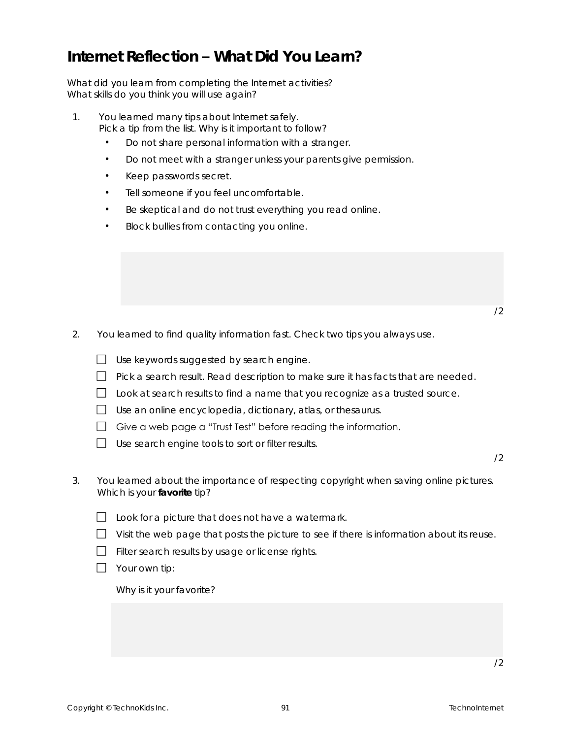# **Internet Reflection – What Did You Learn?**

What did you learn from completing the Internet activities? What skills do you think you will use again?

- 1. You learned many tips about Internet safely. Pick a tip from the list. Why is it important to follow?
	- Do not share personal information with a stranger.
	- Do not meet with a stranger unless your parents give permission.
	- Keep passwords secret.
	- Tell someone if you feel uncomfortable.
	- Be skeptical and do not trust everything you read online.
	- Block bullies from contacting you online.

- /2
- 2. You learned to find quality information fast. Check two tips you *always* use.

| Use keywords suggested by search engine. |  |  |
|------------------------------------------|--|--|
|                                          |  |  |

- $\Box$  Pick a search result. Read description to make sure it has facts that are needed.
- $\Box$  Look at search results to find a name that you recognize as a trusted source.
- $\Box$  Use an online encyclopedia, dictionary, atlas, or the saurus.
- $\Box$  Give a web page a "Trust Test" before reading the information.
- $\Box$  Use search engine tools to sort or filter results.

- 3. You learned about the importance of respecting copyright when saving online pictures. Which is your **favorite** tip?
	- $\Box$  Look for a picture that does not have a watermark.
	- $\Box$  Visit the web page that posts the picture to see if there is information about its reuse.
	- $\Box$  Filter search results by usage or license rights.
	- $\Box$  Your own tip:

Why is it your favorite?

/2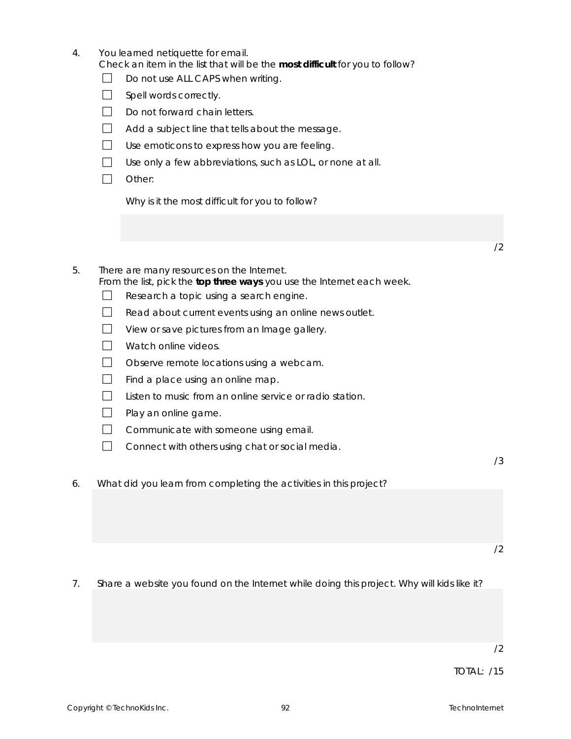| 4.                                                                                                          |                        | You learned netiquette for email.<br>Check an item in the list that will be the most difficult for you to follow? |    |
|-------------------------------------------------------------------------------------------------------------|------------------------|-------------------------------------------------------------------------------------------------------------------|----|
|                                                                                                             |                        | Do not use ALL CAPS when writing.                                                                                 |    |
|                                                                                                             | Spell words correctly. |                                                                                                                   |    |
|                                                                                                             |                        | Do not forward chain letters.                                                                                     |    |
|                                                                                                             |                        | Add a subject line that tells about the message.                                                                  |    |
| Use emoticons to express how you are feeling.<br>Use only a few abbreviations, such as LOL, or none at all. |                        |                                                                                                                   |    |
|                                                                                                             |                        |                                                                                                                   |    |
|                                                                                                             |                        | Why is it the most difficult for you to follow?                                                                   |    |
|                                                                                                             |                        |                                                                                                                   |    |
|                                                                                                             |                        |                                                                                                                   | 72 |

- 5. There are many resources on the Internet. From the list, pick the **top three ways** you use the Internet each week.
	- $\Box$  Research a topic using a search engine.
	- $\Box$  Read about current events using an online news outlet.
	- $\Box$  View or save pictures from an Image gallery.
	- Watch online videos.
	- $\Box$  Observe remote locations using a webcam.
	- $\Box$  Find a place using an online map.
	- $\Box$  Listen to music from an online service or radio station.
	- $\Box$  Play an online game.
	- $\Box$  Communicate with someone using email.
	- $\Box$  Connect with others using chat or social media.

6. What did you learn from completing the activities in this project?

/2

7. Share a website you found on the Internet while doing this project. Why will kids like it?

TOTAL: /15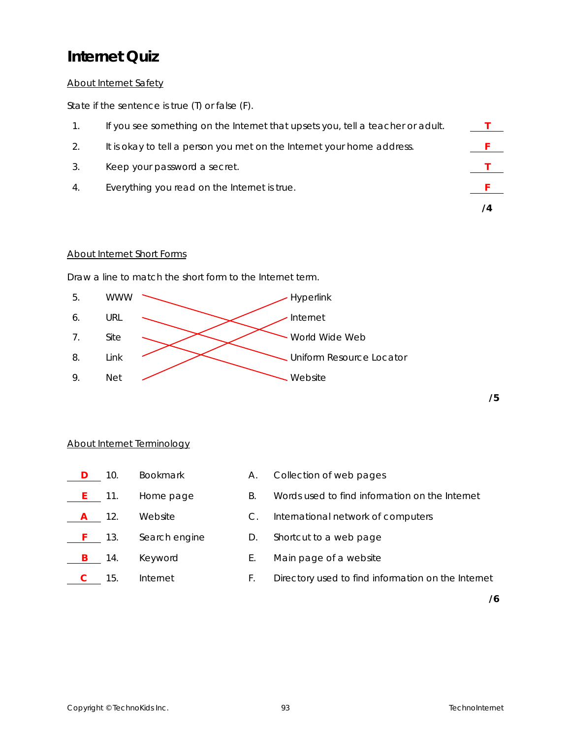# **Internet Quiz**

## About Internet Safety

State if the sentence is true (T) or false (F).

| If you see something on the Internet that upsets you, tell a teacher or adult. |  |
|--------------------------------------------------------------------------------|--|
| It is okay to tell a person you met on the Internet your home address.         |  |
| Keep your password a secret.                                                   |  |
| Everything you read on the Internet is true.                                   |  |
|                                                                                |  |

## About Internet Short Forms

Draw a line to match the short form to the Internet term.



### About Internet Terminology

|           | 10.       | <b>Bookmark</b> | А. | Collection of web pages                            |
|-----------|-----------|-----------------|----|----------------------------------------------------|
|           | $E = 11.$ | Home page       | B. | Words used to find information on the Internet     |
|           | -12.      | Website         | C. | International network of computers                 |
| $F = 13.$ |           | Search engine   | D. | Shortcut to a web page                             |
|           | -14.      | Keyword         | E. | Main page of a website                             |
|           | 15.       | Internet        | ┣. | Directory used to find information on the Internet |

**/6**